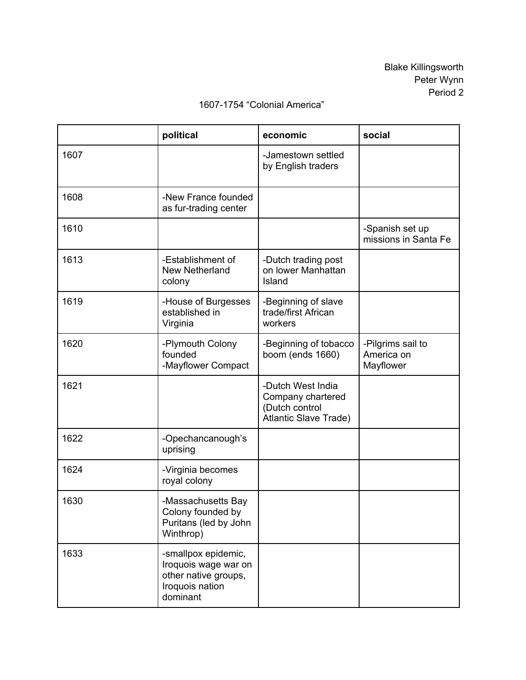## **political economic social** 1607 **Jamestown settled** by English traders 1608 | New France founded as fur-trading center 1610 Spanish set up missions in Santa Fe 1613 Establishment of New Netherland colony -Dutch trading post on lower Manhattan Island 1619 | -House of Burgesses established in Virginia -Beginning of slave trade/first African workers 1620 **Plymouth Colony** founded Mayflower Compact -Beginning of tobacco boom (ends 1660) Pilgrims sail to America on Mayflower 1621 **Dutch West India** Company chartered (Dutch control Atlantic Slave Trade) 1622 | -Opechancanough's uprising 1624 | Virginia becomes royal colony 1630 | Massachusetts Bay Colony founded by Puritans (led by John Winthrop) 1633 **State E** -smallpox epidemic, Iroquois wage war on other native groups,

Iroquois nation dominant

## 1607-1754 "Colonial America"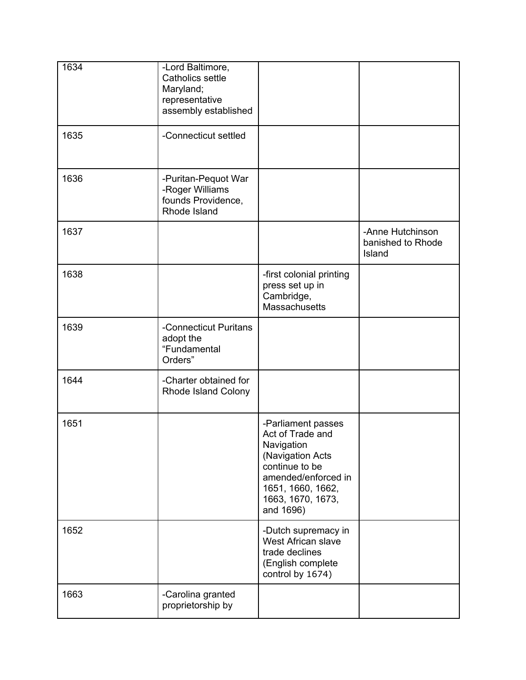| 1634 | -Lord Baltimore,<br>Catholics settle<br>Maryland;<br>representative<br>assembly established |                                                                                                                                                                          |                                                 |  |
|------|---------------------------------------------------------------------------------------------|--------------------------------------------------------------------------------------------------------------------------------------------------------------------------|-------------------------------------------------|--|
| 1635 | -Connecticut settled                                                                        |                                                                                                                                                                          |                                                 |  |
| 1636 | -Puritan-Pequot War<br>-Roger Williams<br>founds Providence,<br>Rhode Island                |                                                                                                                                                                          |                                                 |  |
| 1637 |                                                                                             |                                                                                                                                                                          | -Anne Hutchinson<br>banished to Rhode<br>Island |  |
| 1638 |                                                                                             | -first colonial printing<br>press set up in<br>Cambridge,<br><b>Massachusetts</b>                                                                                        |                                                 |  |
| 1639 | -Connecticut Puritans<br>adopt the<br>"Fundamental<br>Orders"                               |                                                                                                                                                                          |                                                 |  |
| 1644 | -Charter obtained for<br>Rhode Island Colony                                                |                                                                                                                                                                          |                                                 |  |
| 1651 |                                                                                             | -Parliament passes<br>Act of Trade and<br>Navigation<br>(Navigation Acts<br>continue to be<br>amended/enforced in<br>1651, 1660, 1662,<br>1663, 1670, 1673,<br>and 1696) |                                                 |  |
| 1652 |                                                                                             | -Dutch supremacy in<br>West African slave<br>trade declines<br>(English complete<br>control by 1674)                                                                     |                                                 |  |
| 1663 | -Carolina granted<br>proprietorship by                                                      |                                                                                                                                                                          |                                                 |  |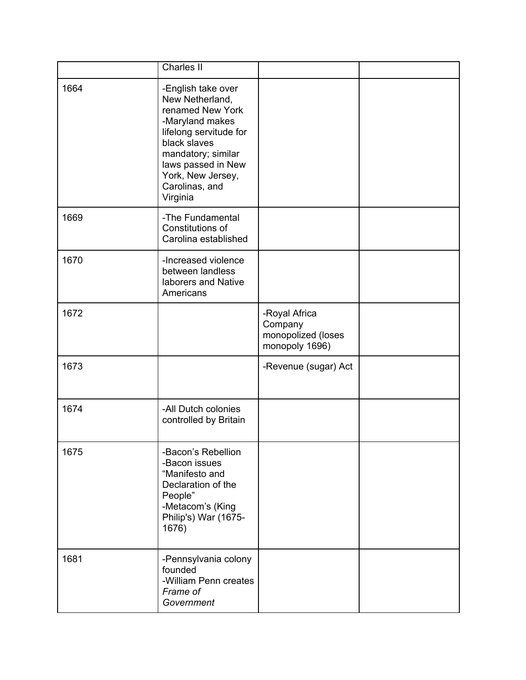|      | <b>Charles II</b>                                                                                                                                                                                                     |                                                                  |  |
|------|-----------------------------------------------------------------------------------------------------------------------------------------------------------------------------------------------------------------------|------------------------------------------------------------------|--|
| 1664 | -English take over<br>New Netherland,<br>renamed New York<br>-Maryland makes<br>lifelong servitude for<br>black slaves<br>mandatory; similar<br>laws passed in New<br>York, New Jersey,<br>Carolinas, and<br>Virginia |                                                                  |  |
| 1669 | -The Fundamental<br>Constitutions of<br>Carolina established                                                                                                                                                          |                                                                  |  |
| 1670 | -Increased violence<br>between landless<br>laborers and Native<br>Americans                                                                                                                                           |                                                                  |  |
| 1672 |                                                                                                                                                                                                                       | -Royal Africa<br>Company<br>monopolized (loses<br>monopoly 1696) |  |
| 1673 |                                                                                                                                                                                                                       | -Revenue (sugar) Act                                             |  |
| 1674 | -All Dutch colonies<br>controlled by Britain                                                                                                                                                                          |                                                                  |  |
| 1675 | -Bacon's Rebellion<br>-Bacon issues<br>"Manifesto and<br>Declaration of the<br>People"<br>-Metacom's (King<br>Philip's) War (1675-<br>1676)                                                                           |                                                                  |  |
| 1681 | -Pennsylvania colony<br>founded<br>-William Penn creates<br>Frame of<br>Government                                                                                                                                    |                                                                  |  |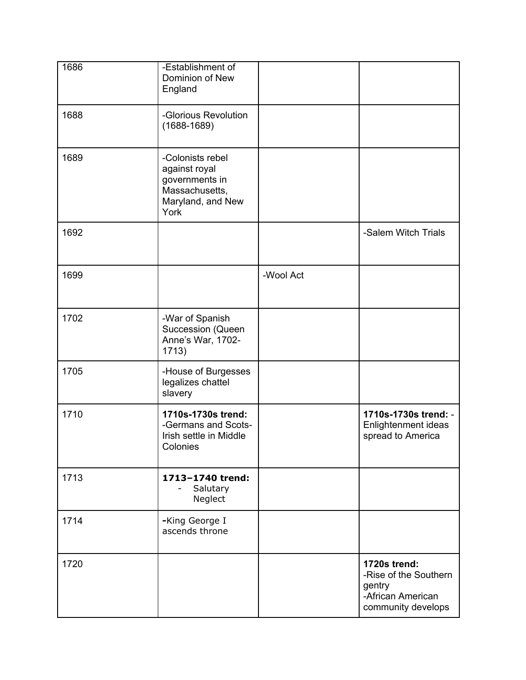| 1686 | -Establishment of<br>Dominion of New<br>England                                                    |           |                                                                                            |  |
|------|----------------------------------------------------------------------------------------------------|-----------|--------------------------------------------------------------------------------------------|--|
| 1688 | -Glorious Revolution<br>$(1688 - 1689)$                                                            |           |                                                                                            |  |
| 1689 | -Colonists rebel<br>against royal<br>governments in<br>Massachusetts,<br>Maryland, and New<br>York |           |                                                                                            |  |
| 1692 |                                                                                                    |           | -Salem Witch Trials                                                                        |  |
| 1699 |                                                                                                    | -Wool Act |                                                                                            |  |
| 1702 | -War of Spanish<br>Succession (Queen<br>Anne's War, 1702-<br>1713)                                 |           |                                                                                            |  |
| 1705 | -House of Burgesses<br>legalizes chattel<br>slavery                                                |           |                                                                                            |  |
| 1710 | 1710s-1730s trend:<br>-Germans and Scots-<br>Irish settle in Middle<br>Colonies                    |           | 1710s-1730s trend: -<br>Enlightenment ideas<br>spread to America                           |  |
| 1713 | 1713-1740 trend:<br>Salutary<br>Neglect                                                            |           |                                                                                            |  |
| 1714 | -King George I<br>ascends throne                                                                   |           |                                                                                            |  |
| 1720 |                                                                                                    |           | 1720s trend:<br>-Rise of the Southern<br>gentry<br>-African American<br>community develops |  |